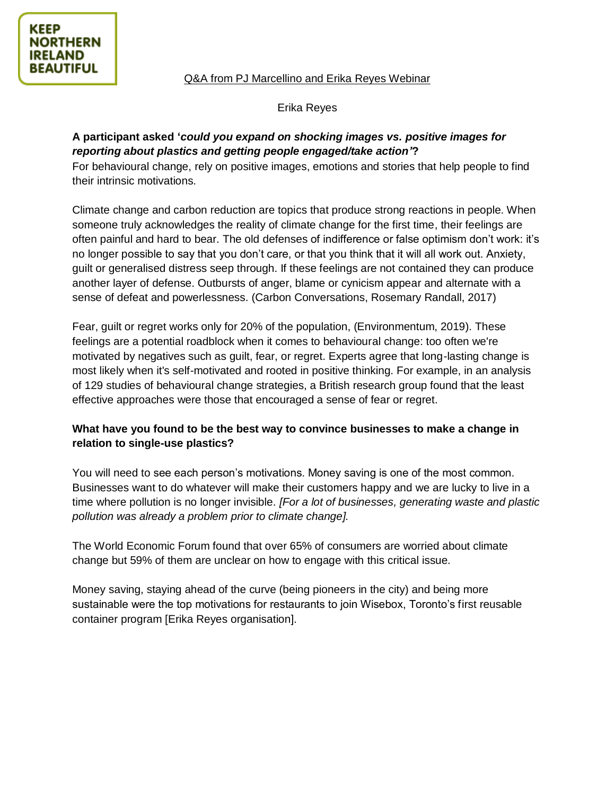Q&A from PJ Marcellino and Erika Reyes Webinar

Erika Reyes

# **A participant asked '***could you expand on shocking images vs. positive images for reporting about plastics and getting people engaged/take action'***?**

For behavioural change, rely on positive images, emotions and stories that help people to find their intrinsic motivations.

Climate change and carbon reduction are topics that produce strong reactions in people. When someone truly acknowledges the reality of climate change for the first time, their feelings are often painful and hard to bear. The old defenses of indifference or false optimism don't work: it's no longer possible to say that you don't care, or that you think that it will all work out. Anxiety, guilt or generalised distress seep through. If these feelings are not contained they can produce another layer of defense. Outbursts of anger, blame or cynicism appear and alternate with a sense of defeat and powerlessness. (Carbon Conversations, Rosemary Randall, 2017)

Fear, guilt or regret works only for 20% of the population, (Environmentum, 2019). These feelings are a potential roadblock when it comes to behavioural change: too often we're motivated by negatives such as guilt, fear, or regret. Experts agree that long-lasting change is most likely when it's self-motivated and rooted in positive thinking. For example, in an analysis of 129 studies of behavioural change strategies, a British research group found that the least effective approaches were those that encouraged a sense of fear or regret.

## **What have you found to be the best way to convince businesses to make a change in relation to single-use plastics?**

You will need to see each person's motivations. Money saving is one of the most common. Businesses want to do whatever will make their customers happy and we are lucky to live in a time where pollution is no longer invisible. *[For a lot of businesses, generating waste and plastic pollution was already a problem prior to climate change].*

The World Economic Forum found that over 65% of consumers are worried about climate change but 59% of them are unclear on how to engage with this critical issue.

Money saving, staying ahead of the curve (being pioneers in the city) and being more sustainable were the top motivations for restaurants to join Wisebox, Toronto's first reusable container program [Erika Reyes organisation].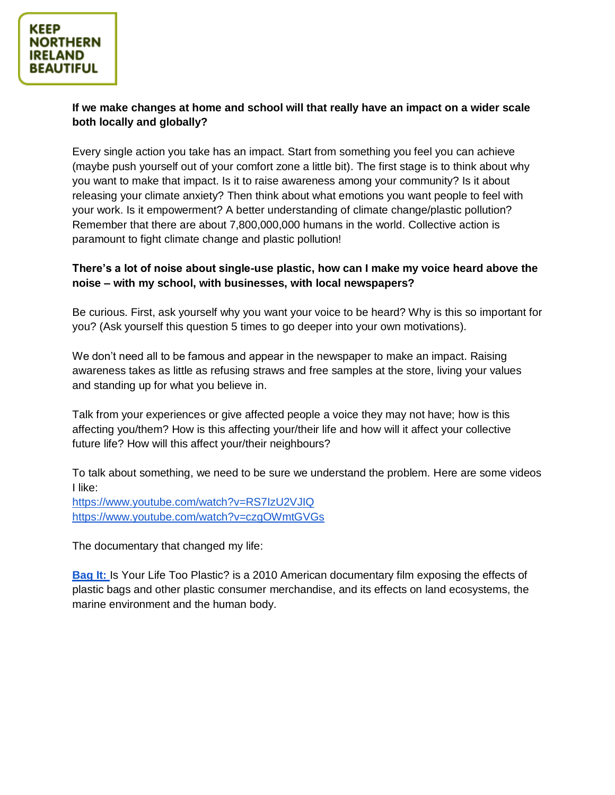#### **If we make changes at home and school will that really have an impact on a wider scale both locally and globally?**

Every single action you take has an impact. Start from something you feel you can achieve (maybe push yourself out of your comfort zone a little bit). The first stage is to think about why you want to make that impact. Is it to raise awareness among your community? Is it about releasing your climate anxiety? Then think about what emotions you want people to feel with your work. Is it empowerment? A better understanding of climate change/plastic pollution? Remember that there are about 7,800,000,000 humans in the world. Collective action is paramount to fight climate change and plastic pollution!

### **There's a lot of noise about single-use plastic, how can I make my voice heard above the noise – with my school, with businesses, with local newspapers?**

Be curious. First, ask yourself why you want your voice to be heard? Why is this so important for you? (Ask yourself this question 5 times to go deeper into your own motivations).

We don't need all to be famous and appear in the newspaper to make an impact. Raising awareness takes as little as refusing straws and free samples at the store, living your values and standing up for what you believe in.

Talk from your experiences or give affected people a voice they may not have; how is this affecting you/them? How is this affecting your/their life and how will it affect your collective future life? How will this affect your/their neighbours?

To talk about something, we need to be sure we understand the problem. Here are some videos I like:

<https://www.youtube.com/watch?v=RS7IzU2VJIQ> <https://www.youtube.com/watch?v=czgOWmtGVGs>

The documentary that changed my life:

**[Bag It:](https://www.imdb.com/title/tt1612246/)** Is Your Life Too Plastic? is a 2010 American documentary film exposing the effects of plastic bags and other plastic consumer merchandise, and its effects on land ecosystems, the marine environment and the human body.